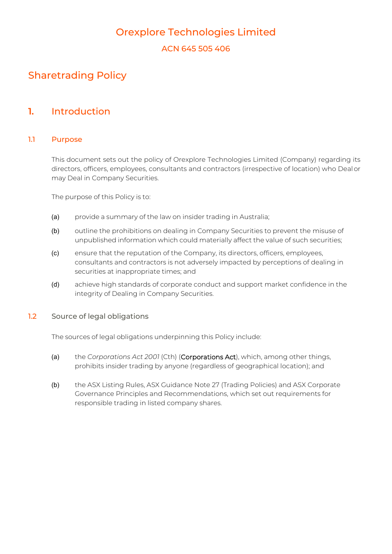# Orexplore Technologies Limited

ACN 645 505 406

# Sharetrading Policy

### **1.** Introduction

### 1.1 Purpose

This document sets out the policy of Orexplore Technologies Limited (Company) regarding its directors, officers, employees, consultants and contractors (irrespective of location) who Dealor may Deal in Company Securities.

The purpose of this Policy is to:

- (a) provide a summary of the law on insider trading in Australia;
- (b) outline the prohibitions on dealing in Company Securities to prevent the misuse of unpublished information which could materially affect the value of such securities;
- (c) ensure that the reputation of the Company, its directors, officers, employees, consultants and contractors is not adversely impacted by perceptions of dealing in securities at inappropriate times; and
- (d) achieve high standards of corporate conduct and support market confidence in the integrity of Dealing in Company Securities.
- 1.2 Source of legal obligations

The sources of legal obligations underpinning this Policy include:

- (a) the *Corporations Act 2001* (Cth) (Corporations Act), which, among other things, prohibits insider trading by anyone (regardless of geographical location); and
- (b) the ASX Listing Rules, ASX Guidance Note 27 (Trading Policies) and ASX Corporate Governance Principles and Recommendations, which set out requirements for responsible trading in listed company shares.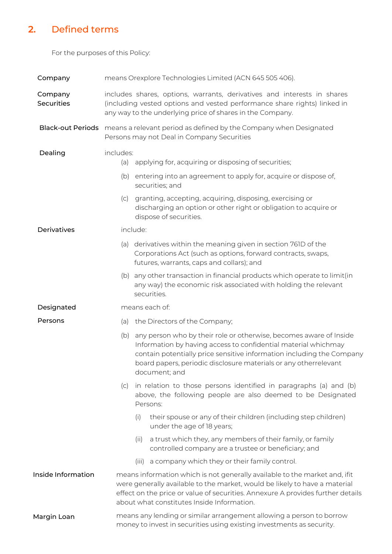# **2.** Defined terms

For the purposes of this Policy:

<span id="page-1-1"></span><span id="page-1-0"></span>

| Company                      | means Orexplore Technologies Limited (ACN 645 505 406).                                                                                                                                                                                                                                    |                                                                                                                                                                                                                                                                                                    |
|------------------------------|--------------------------------------------------------------------------------------------------------------------------------------------------------------------------------------------------------------------------------------------------------------------------------------------|----------------------------------------------------------------------------------------------------------------------------------------------------------------------------------------------------------------------------------------------------------------------------------------------------|
| Company<br><b>Securities</b> | includes shares, options, warrants, derivatives and interests in shares<br>(including vested options and vested performance share rights) linked in<br>any way to the underlying price of shares in the Company.                                                                           |                                                                                                                                                                                                                                                                                                    |
| <b>Black-out Periods</b>     | means a relevant period as defined by the Company when Designated<br>Persons may not Deal in Company Securities                                                                                                                                                                            |                                                                                                                                                                                                                                                                                                    |
| Dealing                      | includes:<br>(a)                                                                                                                                                                                                                                                                           | applying for, acquiring or disposing of securities;                                                                                                                                                                                                                                                |
|                              | (b)                                                                                                                                                                                                                                                                                        | entering into an agreement to apply for, acquire or dispose of,<br>securities; and                                                                                                                                                                                                                 |
|                              | (c)                                                                                                                                                                                                                                                                                        | granting, accepting, acquiring, disposing, exercising or<br>discharging an option or other right or obligation to acquire or<br>dispose of securities.                                                                                                                                             |
| Derivatives                  | include:                                                                                                                                                                                                                                                                                   |                                                                                                                                                                                                                                                                                                    |
|                              | (a)                                                                                                                                                                                                                                                                                        | derivatives within the meaning given in section 761D of the<br>Corporations Act (such as options, forward contracts, swaps,<br>futures, warrants, caps and collars); and                                                                                                                           |
|                              |                                                                                                                                                                                                                                                                                            | (b) any other transaction in financial products which operate to limit(in<br>any way) the economic risk associated with holding the relevant<br>securities.                                                                                                                                        |
| Designated                   | means each of:                                                                                                                                                                                                                                                                             |                                                                                                                                                                                                                                                                                                    |
| Persons                      | (a)                                                                                                                                                                                                                                                                                        | the Directors of the Company;                                                                                                                                                                                                                                                                      |
|                              | (b)                                                                                                                                                                                                                                                                                        | any person who by their role or otherwise, becomes aware of Inside<br>Information by having access to confidential material whichmay<br>contain potentially price sensitive information including the Company<br>board papers, periodic disclosure materials or any otherrelevant<br>document; and |
|                              | (C)                                                                                                                                                                                                                                                                                        | in relation to those persons identified in paragraphs (a) and (b)<br>above, the following people are also deemed to be Designated<br>Persons:                                                                                                                                                      |
|                              |                                                                                                                                                                                                                                                                                            | their spouse or any of their children (including step children)<br>(i)<br>under the age of 18 years;                                                                                                                                                                                               |
|                              |                                                                                                                                                                                                                                                                                            | a trust which they, any members of their family, or family<br>(ii)<br>controlled company are a trustee or beneficiary; and                                                                                                                                                                         |
|                              |                                                                                                                                                                                                                                                                                            | a company which they or their family control.<br>(111)                                                                                                                                                                                                                                             |
| Inside Information           | means information which is not generally available to the market and, if it<br>were generally available to the market, would be likely to have a material<br>effect on the price or value of securities. Annexure A provides further details<br>about what constitutes Inside Information. |                                                                                                                                                                                                                                                                                                    |
| Margin Loan                  | means any lending or similar arrangement allowing a person to borrow<br>money to invest in securities using existing investments as security.                                                                                                                                              |                                                                                                                                                                                                                                                                                                    |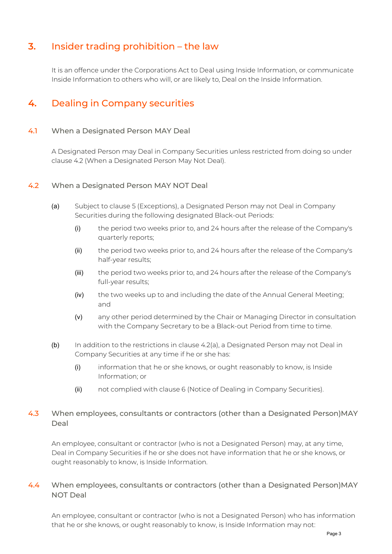# **3.** Insider trading prohibition – the law

It is an offence under the Corporations Act to Deal using Inside Information, or communicate Inside Information to others who will, or are likely to, Deal on the Inside Information.

# **4.** Dealing in Company securities

### 4.1 When a Designated Person MAY Deal

A Designated Person may Deal in Company Securities unless restricted from doing so under clause [4.2](#page-2-0) (When a Designated Person May Not Deal).

#### <span id="page-2-1"></span><span id="page-2-0"></span>4.2 When a Designated Person MAY NOT Deal

- (a) Subject to clause [5 \(](#page-3-0)Exceptions), a Designated Person may not Deal in Company Securities during the following designated Black-out Periods:
	- (i) the period two weeks prior to, and 24 hours after the release of the Company's quarterly reports;
	- (ii) the period two weeks prior to, and 24 hours after the release of the Company's half-year results;
	- (iii) the period two weeks prior to, and 24 hours after the release of the Company's full-year results;
	- (iv) the two weeks up to and including the date of the Annual General Meeting; and
	- (v) any other period determined by the Chair or Managing Director in consultation with the Company Secretary to be a Black-out Period from time to time.
- (b) In addition to the restrictions in clause [4.2\(a\), a](#page-2-1) Designated Person may not Deal in Company Securities at any time if he or she has:
	- (i) information that he or she knows, or ought reasonably to know, is Inside Information; or
	- (ii) not complied with clause [6](#page-4-0) (Notice of Dealing in Company Securities).

### 4.3 When employees, consultants or contractors (other than a Designated Person)MAY Deal

An employee, consultant or contractor (who is not a Designated Person) may, at any time, Deal in Company Securities if he or she does not have information that he or she knows, or ought reasonably to know, is Inside Information.

### 4.4 When employees, consultants or contractors (other than a Designated Person)MAY NOT Deal

An employee, consultant or contractor (who is not a Designated Person) who has information that he or she knows, or ought reasonably to know, is Inside Information may not: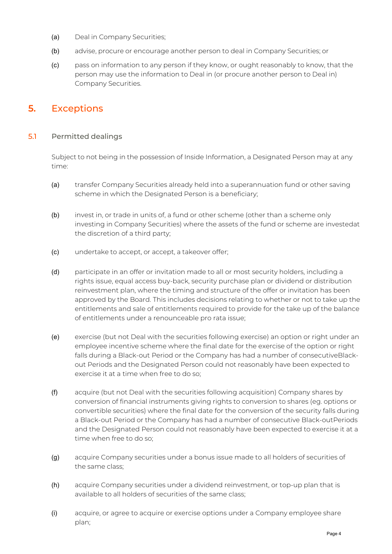- (a) Deal in Company Securities;
- (b) advise, procure or encourage another person to deal in Company Securities; or
- (c) pass on information to any person if they know, or ought reasonably to know, that the person may use the information to Deal in (or procure another person to Deal in) Company Securities.

## <span id="page-3-0"></span>**5.** Exceptions

### 5.1 Permitted dealings

Subject to not being in the possession of Inside Information, a Designated Person may at any time:

- (a) transfer Company Securities already held into a superannuation fund or other saving scheme in which the Designated Person is a beneficiary;
- (b) invest in, or trade in units of, a fund or other scheme (other than a scheme only investing in Company Securities) where the assets of the fund or scheme are investedat the discretion of a third party;
- (c) undertake to accept, or accept, a takeover offer;
- (d) participate in an offer or invitation made to all or most security holders, including a rights issue, equal access buy-back, security purchase plan or dividend or distribution reinvestment plan, where the timing and structure of the offer or invitation has been approved by the Board. This includes decisions relating to whether or not to take up the entitlements and sale of entitlements required to provide for the take up of the balance of entitlements under a renounceable pro rata issue;
- (e) exercise (but not Deal with the securities following exercise) an option or right under an employee incentive scheme where the final date for the exercise of the option or right falls during a Black-out Period or the Company has had a number of consecutiveBlackout Periods and the Designated Person could not reasonably have been expected to exercise it at a time when free to do so;
- (f) acquire (but not Deal with the securities following acquisition) Company shares by conversion of financial instruments giving rights to conversion to shares (eg. options or convertible securities) where the final date for the conversion of the security falls during a Black-out Period or the Company has had a number of consecutive Black-outPeriods and the Designated Person could not reasonably have been expected to exercise it at a time when free to do so;
- (g) acquire Company securities under a bonus issue made to all holders of securities of the same class;
- (h) acquire Company securities under a dividend reinvestment, or top-up plan that is available to all holders of securities of the same class;
- (i) acquire, or agree to acquire or exercise options under a Company employee share plan;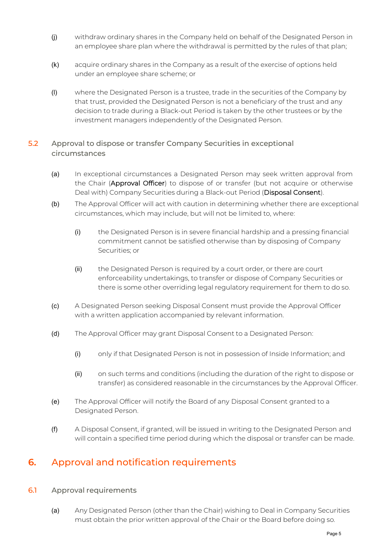- (j) withdraw ordinary shares in the Company held on behalf of the Designated Person in an employee share plan where the withdrawal is permitted by the rules of that plan;
- (k) acquire ordinary shares in the Company as a result of the exercise of options held under an employee share scheme; or
- (l) where the Designated Person is a trustee, trade in the securities of the Company by that trust, provided the Designated Person is not a beneficiary of the trust and any decision to trade during a Black-out Period is taken by the other trustees or by the investment managers independently of the Designated Person.
- 5.2 Approval to dispose or transfer Company Securities in exceptional circumstances
	- (a) In exceptional circumstances a Designated Person may seek written approval from the Chair (Approval Officer) to dispose of or transfer (but not acquire or otherwise Deal with) Company Securities during a Black-out Period (Disposal Consent).
	- (b) The Approval Officer will act with caution in determining whether there are exceptional circumstances, which may include, but will not be limited to, where:
		- (i) the Designated Person is in severe financial hardship and a pressing financial commitment cannot be satisfied otherwise than by disposing of Company Securities; or
		- (ii) the Designated Person is required by a court order, or there are court enforceability undertakings, to transfer or dispose of Company Securities or there is some other overriding legal regulatory requirement for them to do so.
	- (c) A Designated Person seeking Disposal Consent must provide the Approval Officer with a written application accompanied by relevant information.
	- (d) The Approval Officer may grant Disposal Consent to a Designated Person:
		- (i) only if that Designated Person is not in possession of Inside Information; and
		- (ii) on such terms and conditions (including the duration of the right to dispose or transfer) as considered reasonable in the circumstances by the Approval Officer.
	- (e) The Approval Officer will notify the Board of any Disposal Consent granted to a Designated Person.
	- (f) A Disposal Consent, if granted, will be issued in writing to the Designated Person and will contain a specified time period during which the disposal or transfer can be made.

# <span id="page-4-0"></span>**6.** Approval and notification requirements

### 6.1 Approval requirements

(a) Any Designated Person (other than the Chair) wishing to Deal in Company Securities must obtain the prior written approval of the Chair or the Board before doing so.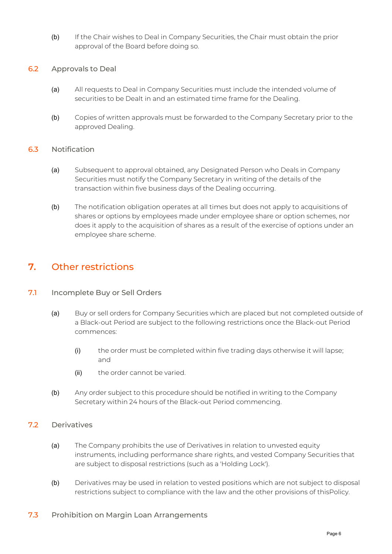- (b) If the Chair wishes to Deal in Company Securities, the Chair must obtain the prior approval of the Board before doing so.
- 6.2 Approvals to Deal
	- (a) All requests to Deal in Company Securities must include the intended volume of securities to be Dealt in and an estimated time frame for the Dealing.
	- (b) Copies of written approvals must be forwarded to the Company Secretary prior to the approved Dealing.

### 6.3 Notification

- (a) Subsequent to approval obtained, any Designated Person who Deals in Company Securities must notify the Company Secretary in writing of the details of the transaction within five business days of the Dealing occurring.
- (b) The notification obligation operates at all times but does not apply to acquisitions of shares or options by employees made under employee share or option schemes, nor does it apply to the acquisition of shares as a result of the exercise of options under an employee share scheme.

# **7.** Other restrictions

### 7.1 Incomplete Buy or Sell Orders

- (a) Buy or sell orders for Company Securities which are placed but not completed outside of a Black-out Period are subject to the following restrictions once the Black-out Period commences:
	- (i) the order must be completed within five trading days otherwise it will lapse; and
	- (ii) the order cannot be varied.
- (b) Any order subject to this procedure should be notified in writing to the Company Secretary within 24 hours of the Black-out Period commencing.
- 7.2 Derivatives
	- (a) The Company prohibits the use of Derivatives in relation to unvested equity instruments, including performance share rights, and vested Company Securities that are subject to disposal restrictions (such as a 'Holding Lock').
	- (b) Derivatives may be used in relation to vested positions which are not subject to disposal restrictions subject to compliance with the law and the other provisions of thisPolicy.

### 7.3 Prohibition on Margin Loan Arrangements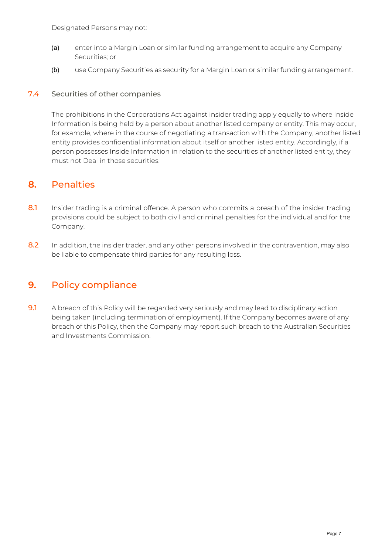- (a) enter into a Margin Loan or similar funding arrangement to acquire any Company Securities; or
- (b) use Company Securities as security for a Margin Loan or similar funding arrangement.

### 7.4 Securities of other companies

The prohibitions in the Corporations Act against insider trading apply equally to where Inside Information is being held by a person about another listed company or entity. This may occur, for example, where in the course of negotiating a transaction with the Company, another listed entity provides confidential information about itself or another listed entity. Accordingly, if a person possesses Inside Information in relation to the securities of another listed entity, they must not Deal in those securities.

### **8.** Penalties

- 8.1 Insider trading is a criminal offence. A person who commits a breach of the insider trading provisions could be subject to both civil and criminal penalties for the individual and for the Company.
- 8.2 In addition, the insider trader, and any other persons involved in the contravention, may also be liable to compensate third parties for any resulting loss.

## **9.** Policy compliance

9.1 A breach of this Policy will be regarded very seriously and may lead to disciplinary action being taken (including termination of employment). If the Company becomes aware of any breach of this Policy, then the Company may report such breach to the Australian Securities and Investments Commission.